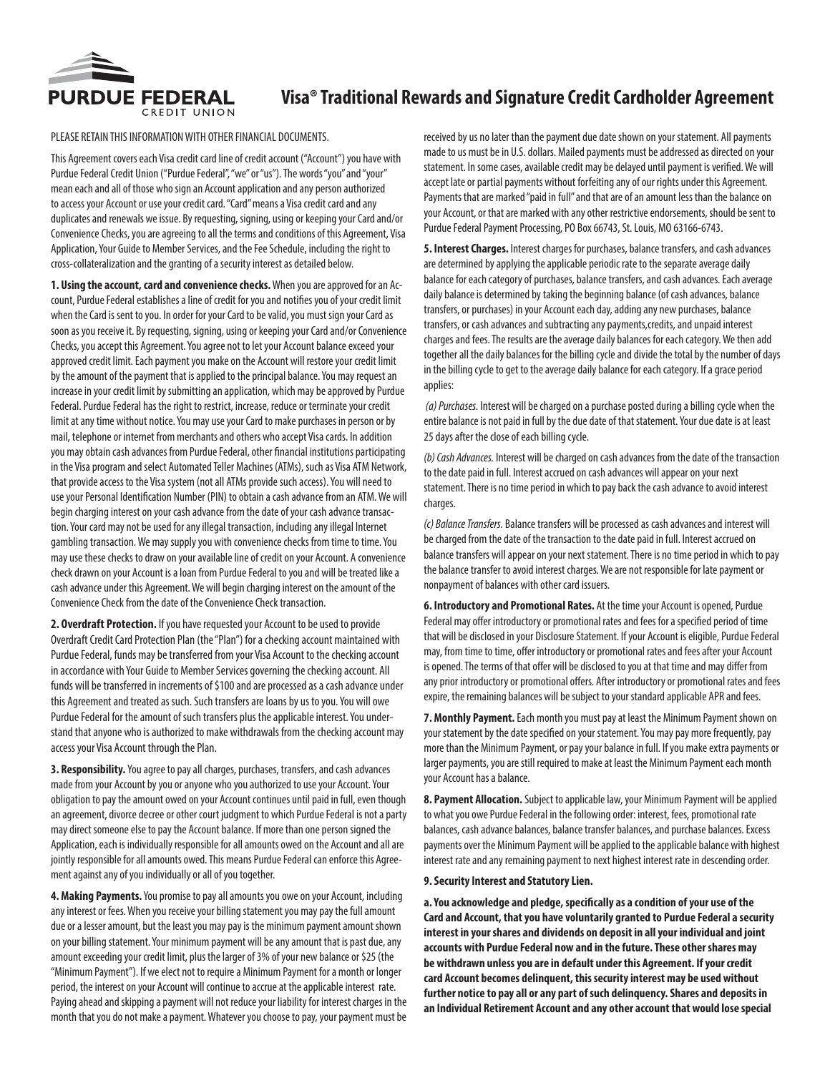

### PLEASE RETAIN THIS INFORMATION WITH OTHER FINANCIAL DOCUMENTS.

This Agreement covers each Visa credit card line of credit account ("Account") you have with Purdue Federal Credit Union ("Purdue Federal", "we" or "us"). The words "you" and "your" mean each and all of those who sign an Account application and any person authorized to access your Account or use your credit card. "Card" means a Visa credit card and any duplicates and renewals we issue. By requesting, signing, using or keeping your Card and/or Convenience Checks, you are agreeing to all the terms and conditions of this Agreement, Visa Application, Your Guide to Member Services, and the Fee Schedule, including the right to cross-collateralization and the granting of a security interest as detailed below.

**1. Using the account, card and convenience checks.** When you are approved for an Account, Purdue Federal establishes a line of credit for you and notifies you of your credit limit when the Card is sent to you. In order for your Card to be valid, you must sign your Card as soon as you receive it. By requesting, signing, using or keeping your Card and/or Convenience Checks, you accept this Agreement. You agree not to let your Account balance exceed your approved credit limit. Each payment you make on the Account will restore your credit limit by the amount of the payment that is applied to the principal balance. You may request an increase in your credit limit by submitting an application, which may be approved by Purdue Federal. Purdue Federal has the right to restrict, increase, reduce or terminate your credit limit at any time without notice. You may use your Card to make purchases in person or by mail, telephone or internet from merchants and others who accept Visa cards. In addition you may obtain cash advances from Purdue Federal, other financial institutions participating in the Visa program and select Automated Teller Machines (ATMs), such as Visa ATM Network, that provide access to the Visa system (not all ATMs provide such access). You will need to use your Personal Identification Number (PIN) to obtain a cash advance from an ATM. We will begin charging interest on your cash advance from the date of your cash advance transaction. Your card may not be used for any illegal transaction, including any illegal Internet gambling transaction. We may supply you with convenience checks from time to time. You may use these checks to draw on your available line of credit on your Account. A convenience check drawn on your Account is a loan from Purdue Federal to you and will be treated like a cash advance under this Agreement. We will begin charging interest on the amount of the Convenience Check from the date of the Convenience Check transaction.

**2. Overdraft Protection.** If you have requested your Account to be used to provide Overdraft Credit Card Protection Plan (the "Plan") for a checking account maintained with Purdue Federal, funds may be transferred from your Visa Account to the checking account in accordance with Your Guide to Member Services governing the checking account. All funds will be transferred in increments of \$100 and are processed as a cash advance under this Agreement and treated as such. Such transfers are loans by us to you. You will owe Purdue Federal for the amount of such transfers plus the applicable interest. You understand that anyone who is authorized to make withdrawals from the checking account may access your Visa Account through the Plan.

**3. Responsibility.** You agree to pay all charges, purchases, transfers, and cash advances made from your Account by you or anyone who you authorized to use your Account. Your obligation to pay the amount owed on your Account continues until paid in full, even though an agreement, divorce decree or other court judgment to which Purdue Federal is not a party may direct someone else to pay the Account balance. If more than one person signed the Application, each is individually responsible for all amounts owed on the Account and all are jointly responsible for all amounts owed. This means Purdue Federal can enforce this Agreement against any of you individually or all of you together.

**4. Making Payments.** You promise to pay all amounts you owe on your Account, including any interest or fees. When you receive your billing statement you may pay the full amount due or a lesser amount, but the least you may pay is the minimum payment amount shown on your billing statement. Your minimum payment will be any amount that is past due, any amount exceeding your credit limit, plus the larger of 3% of your new balance or \$25 (the "Minimum Payment"). If we elect not to require a Minimum Payment for a month or longer period, the interest on your Account will continue to accrue at the applicable interest rate. Paying ahead and skipping a payment will not reduce your liability for interest charges in the month that you do not make a payment. Whatever you choose to pay, your payment must be

received by us no later than the payment due date shown on your statement. All payments made to us must be in U.S. dollars. Mailed payments must be addressed as directed on your statement. In some cases, available credit may be delayed until payment is verified. We will accept late or partial payments without forfeiting any of our rights under this Agreement. Payments that are marked "paid in full" and that are of an amount less than the balance on your Account, or that are marked with any other restrictive endorsements, should be sent to Purdue Federal Payment Processing, PO Box 66743, St. Louis, MO 63166-6743.

**5. Interest Charges.** Interest charges for purchases, balance transfers, and cash advances are determined by applying the applicable periodic rate to the separate average daily balance for each category of purchases, balance transfers, and cash advances. Each average daily balance is determined by taking the beginning balance (of cash advances, balance transfers, or purchases) in your Account each day, adding any new purchases, balance transfers, or cash advances and subtracting any payments,credits, and unpaid interest charges and fees. The results are the average daily balances for each category. We then add together all the daily balances for the billing cycle and divide the total by the number of days in the billing cycle to get to the average daily balance for each category. If a grace period applies:

 *(a) Purchases.* Interest will be charged on a purchase posted during a billing cycle when the entire balance is not paid in full by the due date of that statement. Your due date is at least 25 days after the close of each billing cycle.

*(b) Cash Advances.* Interest will be charged on cash advances from the date of the transaction to the date paid in full. Interest accrued on cash advances will appear on your next statement. There is no time period in which to pay back the cash advance to avoid interest charges.

*(c) Balance Transfers.* Balance transfers will be processed as cash advances and interest will be charged from the date of the transaction to the date paid in full. Interest accrued on balance transfers will appear on your next statement. There is no time period in which to pay the balance transfer to avoid interest charges. We are not responsible for late payment or nonpayment of balances with other card issuers.

**6. Introductory and Promotional Rates.** At the time your Account is opened, Purdue Federal may offer introductory or promotional rates and fees for a specified period of time that will be disclosed in your Disclosure Statement. If your Account is eligible, Purdue Federal may, from time to time, offer introductory or promotional rates and fees after your Account is opened. The terms of that offer will be disclosed to you at that time and may differ from any prior introductory or promotional offers. After introductory or promotional rates and fees expire, the remaining balances will be subject to your standard applicable APR and fees.

**7. Monthly Payment.** Each month you must pay at least the Minimum Payment shown on your statement by the date specified on your statement. You may pay more frequently, pay more than the Minimum Payment, or pay your balance in full. If you make extra payments or larger payments, you are still required to make at least the Minimum Payment each month your Account has a balance.

**8. Payment Allocation.** Subject to applicable law, your Minimum Payment will be applied to what you owe Purdue Federal in the following order: interest, fees, promotional rate balances, cash advance balances, balance transfer balances, and purchase balances. Excess payments over the Minimum Payment will be applied to the applicable balance with highest interest rate and any remaining payment to next highest interest rate in descending order.

#### **9. Security Interest and Statutory Lien.**

**a. You acknowledge and pledge, specifically as a condition of your use of the Card and Account, that you have voluntarily granted to Purdue Federal a security interest in your shares and dividends on deposit in all your individual and joint accounts with Purdue Federal now and in the future. These other shares may be withdrawn unless you are in default under this Agreement. If your credit card Account becomes delinquent, this security interest may be used without further notice to pay all or any part of such delinquency. Shares and deposits in an Individual Retirement Account and any other account that would lose special**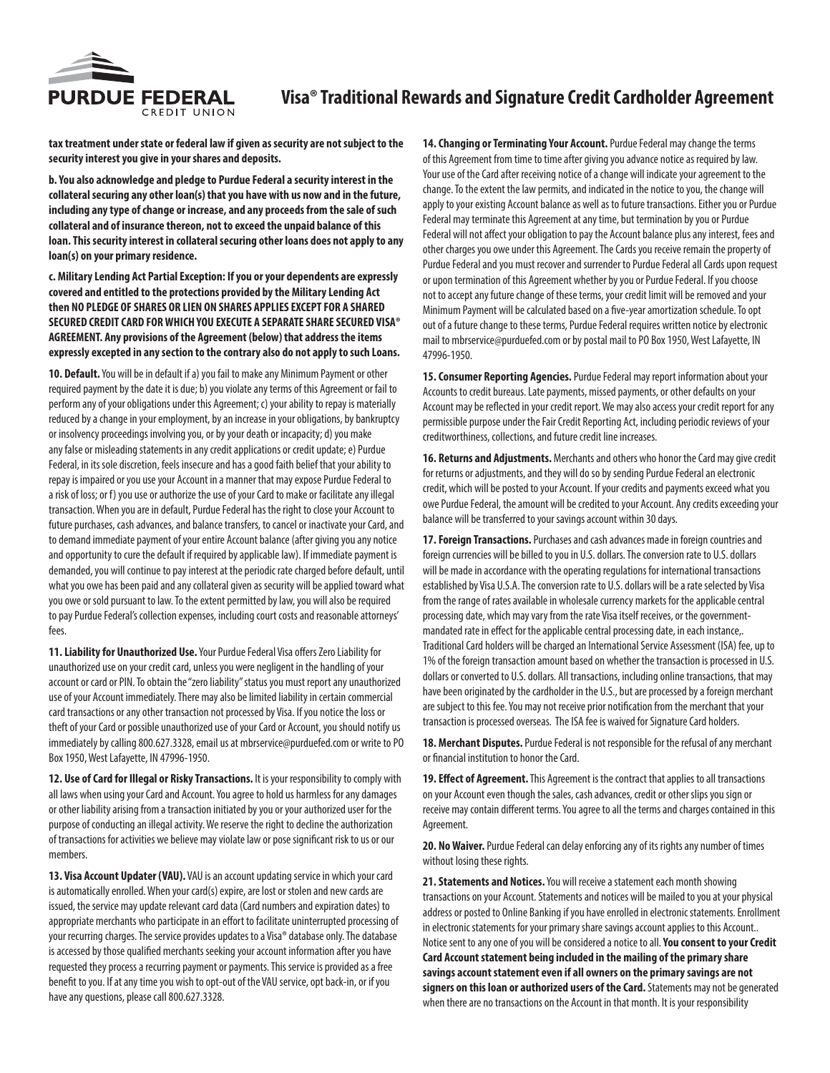

**tax treatment under state or federal law if given as security are not subject to the security interest you give in your shares and deposits.**

**b. You also acknowledge and pledge to Purdue Federal a security interest in the collateral securing any other loan(s) that you have with us now and in the future, including any type of change or increase, and any proceeds from the sale of such collateral and of insurance thereon, not to exceed the unpaid balance of this loan. This security interest in collateral securing other loans does not apply to any loan(s) on your primary residence.**

**c. Military Lending Act Partial Exception: If you or your dependents are expressly covered and entitled to the protections provided by the Military Lending Act then NO PLEDGE OF SHARES OR LIEN ON SHARES APPLIES EXCEPT FOR A SHARED SECURED CREDIT CARD FOR WHICH YOU EXECUTE A SEPARATE SHARE SECURED VISA® AGREEMENT. Any provisions of the Agreement (below) that address the items expressly excepted in any section to the contrary also do not apply to such Loans.**

**10. Default.** You will be in default if a) you fail to make any Minimum Payment or other required payment by the date it is due; b) you violate any terms of this Agreement or fail to perform any of your obligations under this Agreement; c) your ability to repay is materially reduced by a change in your employment, by an increase in your obligations, by bankruptcy or insolvency proceedings involving you, or by your death or incapacity; d) you make any false or misleading statements in any credit applications or credit update; e) Purdue Federal, in its sole discretion, feels insecure and has a good faith belief that your ability to repay is impaired or you use your Account in a manner that may expose Purdue Federal to a risk of loss; or f) you use or authorize the use of your Card to make or facilitate any illegal transaction. When you are in default, Purdue Federal has the right to close your Account to future purchases, cash advances, and balance transfers, to cancel or inactivate your Card, and to demand immediate payment of your entire Account balance (after giving you any notice and opportunity to cure the default if required by applicable law). If immediate payment is demanded, you will continue to pay interest at the periodic rate charged before default, until what you owe has been paid and any collateral given as security will be applied toward what you owe or sold pursuant to law. To the extent permitted by law, you will also be required to pay Purdue Federal's collection expenses, including court costs and reasonable attorneys' fees.

**11. Liability for Unauthorized Use.** Your Purdue Federal Visa offers Zero Liability for unauthorized use on your credit card, unless you were negligent in the handling of your account or card or PIN. To obtain the "zero liability" status you must report any unauthorized use of your Account immediately. There may also be limited liability in certain commercial card transactions or any other transaction not processed by Visa. If you notice the loss or theft of your Card or possible unauthorized use of your Card or Account, you should notify us immediately by calling 800.627.3328, email us at mbrservice@purduefed.com or write to PO Box 1950, West Lafayette, IN 47996-1950.

**12. Use of Card for Illegal or Risky Transactions.** It is your responsibility to comply with all laws when using your Card and Account. You agree to hold us harmless for any damages or other liability arising from a transaction initiated by you or your authorized user for the purpose of conducting an illegal activity. We reserve the right to decline the authorization of transactions for activities we believe may violate law or pose significant risk to us or our members.

**13. Visa Account Updater (VAU).** VAU is an account updating service in which your card is automatically enrolled. When your card(s) expire, are lost or stolen and new cards are issued, the service may update relevant card data (Card numbers and expiration dates) to appropriate merchants who participate in an effort to facilitate uninterrupted processing of your recurring charges. The service provides updates to a Visa® database only. The database is accessed by those qualified merchants seeking your account information after you have requested they process a recurring payment or payments. This service is provided as a free benefit to you. If at any time you wish to opt-out of the VAU service, opt back-in, or if you have any questions, please call 800.627.3328.

**14. Changing or Terminating Your Account.** Purdue Federal may change the terms of this Agreement from time to time after giving you advance notice as required by law. Your use of the Card after receiving notice of a change will indicate your agreement to the change. To the extent the law permits, and indicated in the notice to you, the change will apply to your existing Account balance as well as to future transactions. Either you or Purdue Federal may terminate this Agreement at any time, but termination by you or Purdue Federal will not affect your obligation to pay the Account balance plus any interest, fees and other charges you owe under this Agreement. The Cards you receive remain the property of Purdue Federal and you must recover and surrender to Purdue Federal all Cards upon request or upon termination of this Agreement whether by you or Purdue Federal. If you choose not to accept any future change of these terms, your credit limit will be removed and your Minimum Payment will be calculated based on a five-year amortization schedule. To opt out of a future change to these terms, Purdue Federal requires written notice by electronic mail to mbrservice@purduefed.com or by postal mail to PO Box 1950, West Lafayette, IN 47996-1950.

**15. Consumer Reporting Agencies.** Purdue Federal may report information about your Accounts to credit bureaus. Late payments, missed payments, or other defaults on your Account may be reflected in your credit report. We may also access your credit report for any permissible purpose under the Fair Credit Reporting Act, including periodic reviews of your creditworthiness, collections, and future credit line increases.

**16. Returns and Adjustments.** Merchants and others who honor the Card may give credit for returns or adjustments, and they will do so by sending Purdue Federal an electronic credit, which will be posted to your Account. If your credits and payments exceed what you owe Purdue Federal, the amount will be credited to your Account. Any credits exceeding your balance will be transferred to your savings account within 30 days.

**17. Foreign Transactions.** Purchases and cash advances made in foreign countries and foreign currencies will be billed to you in U.S. dollars. The conversion rate to U.S. dollars will be made in accordance with the operating regulations for international transactions established by Visa U.S.A. The conversion rate to U.S. dollars will be a rate selected by Visa from the range of rates available in wholesale currency markets for the applicable central processing date, which may vary from the rate Visa itself receives, or the governmentmandated rate in effect for the applicable central processing date, in each instance,. Traditional Card holders will be charged an International Service Assessment (ISA) fee, up to 1% of the foreign transaction amount based on whether the transaction is processed in U.S. dollars or converted to U.S. dollars. All transactions, including online transactions, that may have been originated by the cardholder in the U.S., but are processed by a foreign merchant are subject to this fee. You may not receive prior notification from the merchant that your transaction is processed overseas. The ISA fee is waived for Signature Card holders.

**18. Merchant Disputes.** Purdue Federal is not responsible for the refusal of any merchant or financial institution to honor the Card.

**19. Effect of Agreement.** This Agreement is the contract that applies to all transactions on your Account even though the sales, cash advances, credit or other slips you sign or receive may contain different terms. You agree to all the terms and charges contained in this Agreement.

**20. No Waiver.** Purdue Federal can delay enforcing any of its rights any number of times without losing these rights.

**21. Statements and Notices.** You will receive a statement each month showing transactions on your Account. Statements and notices will be mailed to you at your physical address or posted to Online Banking if you have enrolled in electronic statements. Enrollment in electronic statements for your primary share savings account applies to this Account.. Notice sent to any one of you will be considered a notice to all. **You consent to your Credit Card Account statement being included in the mailing of the primary share savings account statement even if all owners on the primary savings are not signers on this loan or authorized users of the Card.** Statements may not be generated when there are no transactions on the Account in that month. It is your responsibility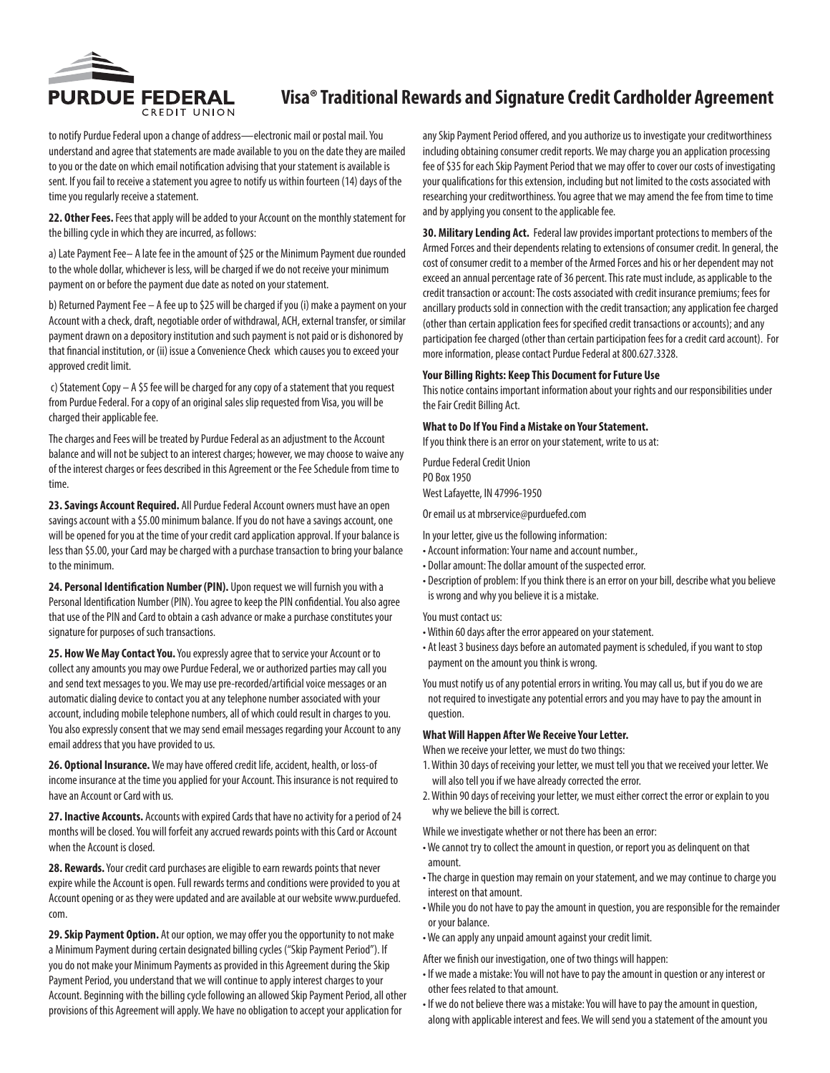

to notify Purdue Federal upon a change of address—electronic mail or postal mail. You understand and agree that statements are made available to you on the date they are mailed to you or the date on which email notification advising that your statement is available is sent. If you fail to receive a statement you agree to notify us within fourteen (14) days of the time you regularly receive a statement.

**22. Other Fees.** Fees that apply will be added to your Account on the monthly statement for the billing cycle in which they are incurred, as follows:

a) Late Payment Fee– A late fee in the amount of \$25 or the Minimum Payment due rounded to the whole dollar, whichever is less, will be charged if we do not receive your minimum payment on or before the payment due date as noted on your statement.

b) Returned Payment Fee – A fee up to \$25 will be charged if you (i) make a payment on your Account with a check, draft, negotiable order of withdrawal, ACH, external transfer, or similar payment drawn on a depository institution and such payment is not paid or is dishonored by that financial institution, or (ii) issue a Convenience Check which causes you to exceed your approved credit limit.

 c) Statement Copy – A \$5 fee will be charged for any copy of a statement that you request from Purdue Federal. For a copy of an original sales slip requested from Visa, you will be charged their applicable fee.

The charges and Fees will be treated by Purdue Federal as an adjustment to the Account balance and will not be subject to an interest charges; however, we may choose to waive any of the interest charges or fees described in this Agreement or the Fee Schedule from time to time.

**23. Savings Account Required.** All Purdue Federal Account owners must have an open savings account with a \$5.00 minimum balance. If you do not have a savings account, one will be opened for you at the time of your credit card application approval. If your balance is less than \$5.00, your Card may be charged with a purchase transaction to bring your balance to the minimum.

**24. Personal Identification Number (PIN).** Upon request we will furnish you with a Personal Identification Number (PIN). You agree to keep the PIN confidential. You also agree that use of the PIN and Card to obtain a cash advance or make a purchase constitutes your signature for purposes of such transactions.

**25. How We May Contact You.** You expressly agree that to service your Account or to collect any amounts you may owe Purdue Federal, we or authorized parties may call you and send text messages to you. We may use pre-recorded/artificial voice messages or an automatic dialing device to contact you at any telephone number associated with your account, including mobile telephone numbers, all of which could result in charges to you. You also expressly consent that we may send email messages regarding your Account to any email address that you have provided to us.

**26. Optional Insurance.** We may have offered credit life, accident, health, or loss-of income insurance at the time you applied for your Account. This insurance is not required to have an Account or Card with us.

**27. Inactive Accounts.** Accounts with expired Cards that have no activity for a period of 24 months will be closed. You will forfeit any accrued rewards points with this Card or Account when the Account is closed.

**28. Rewards.** Your credit card purchases are eligible to earn rewards points that never expire while the Account is open. Full rewards terms and conditions were provided to you at Account opening or as they were updated and are available at our website www.purduefed. com.

**29. Skip Payment Option.** At our option, we may offer you the opportunity to not make a Minimum Payment during certain designated billing cycles ("Skip Payment Period"). If you do not make your Minimum Payments as provided in this Agreement during the Skip Payment Period, you understand that we will continue to apply interest charges to your Account. Beginning with the billing cycle following an allowed Skip Payment Period, all other provisions of this Agreement will apply. We have no obligation to accept your application for

any Skip Payment Period offered, and you authorize us to investigate your creditworthiness including obtaining consumer credit reports. We may charge you an application processing fee of \$35 for each Skip Payment Period that we may offer to cover our costs of investigating your qualifications for this extension, including but not limited to the costs associated with researching your creditworthiness. You agree that we may amend the fee from time to time and by applying you consent to the applicable fee.

**30. Military Lending Act.** Federal law provides important protections to members of the Armed Forces and their dependents relating to extensions of consumer credit. In general, the cost of consumer credit to a member of the Armed Forces and his or her dependent may not exceed an annual percentage rate of 36 percent. This rate must include, as applicable to the credit transaction or account: The costs associated with credit insurance premiums; fees for ancillary products sold in connection with the credit transaction; any application fee charged (other than certain application fees for specified credit transactions or accounts); and any participation fee charged (other than certain participation fees for a credit card account). For more information, please contact Purdue Federal at 800.627.3328.

#### **Your Billing Rights: Keep This Document for Future Use**

This notice contains important information about your rights and our responsibilities under the Fair Credit Billing Act.

### **What to Do If You Find a Mistake on Your Statement.**

If you think there is an error on your statement, write to us at:

Purdue Federal Credit Union PO Box 1950 West Lafayette, IN 47996-1950

Or email us at mbrservice@purduefed.com

In your letter, give us the following information:

- Account information: Your name and account number.,
- Dollar amount: The dollar amount of the suspected error.
- Description of problem: If you think there is an error on your bill, describe what you believe is wrong and why you believe it is a mistake.

You must contact us:

- Within 60 days after the error appeared on your statement.
- At least 3 business days before an automated payment is scheduled, if you want to stop payment on the amount you think is wrong.

You must notify us of any potential errors in writing. You may call us, but if you do we are not required to investigate any potential errors and you may have to pay the amount in question.

### **What Will Happen After We Receive Your Letter.**

When we receive your letter, we must do two things:

- 1. Within 30 days of receiving your letter, we must tell you that we received your letter. We will also tell you if we have already corrected the error.
- 2. Within 90 days of receiving your letter, we must either correct the error or explain to you why we believe the bill is correct.

While we investigate whether or not there has been an error:

- We cannot try to collect the amount in question, or report you as delinquent on that amount.
- The charge in question may remain on your statement, and we may continue to charge you interest on that amount.
- While you do not have to pay the amount in question, you are responsible for the remainder or your balance.
- We can apply any unpaid amount against your credit limit.
- After we finish our investigation, one of two things will happen:
- If we made a mistake: You will not have to pay the amount in question or any interest or other fees related to that amount.
- If we do not believe there was a mistake: You will have to pay the amount in question, along with applicable interest and fees. We will send you a statement of the amount you